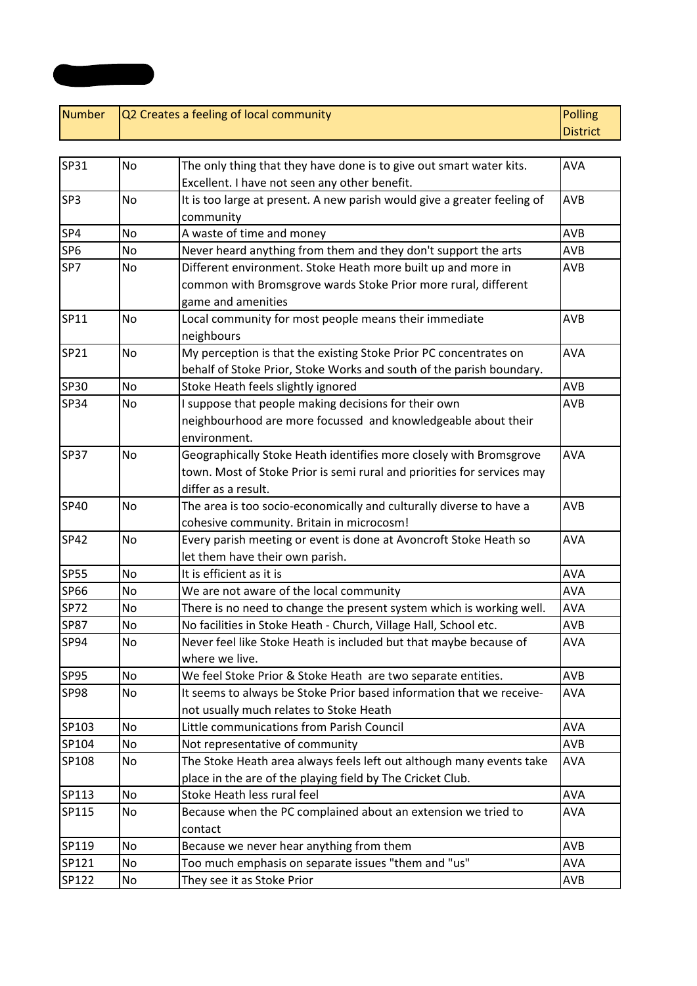| <b>Number</b>   | Q2 Creates a feeling of local community |                                                                          | <b>Polling</b> |  |
|-----------------|-----------------------------------------|--------------------------------------------------------------------------|----------------|--|
|                 |                                         |                                                                          |                |  |
|                 |                                         |                                                                          |                |  |
| SP31            | No                                      | The only thing that they have done is to give out smart water kits.      | <b>AVA</b>     |  |
|                 |                                         | Excellent. I have not seen any other benefit.                            |                |  |
| SP3             | No                                      | It is too large at present. A new parish would give a greater feeling of | AVB            |  |
|                 |                                         | community                                                                |                |  |
| SP4             | No                                      | A waste of time and money                                                | <b>AVB</b>     |  |
| SP <sub>6</sub> | No                                      | Never heard anything from them and they don't support the arts           | <b>AVB</b>     |  |
| SP7             | No                                      | Different environment. Stoke Heath more built up and more in             | <b>AVB</b>     |  |
|                 |                                         | common with Bromsgrove wards Stoke Prior more rural, different           |                |  |
|                 |                                         | game and amenities                                                       |                |  |
| SP11            | No                                      | Local community for most people means their immediate                    | <b>AVB</b>     |  |
|                 |                                         | neighbours                                                               |                |  |
| SP21            | No                                      | My perception is that the existing Stoke Prior PC concentrates on        | <b>AVA</b>     |  |
|                 |                                         | behalf of Stoke Prior, Stoke Works and south of the parish boundary.     |                |  |
| <b>SP30</b>     | No                                      | Stoke Heath feels slightly ignored                                       | AVB            |  |
| <b>SP34</b>     | No                                      | I suppose that people making decisions for their own                     | <b>AVB</b>     |  |
|                 |                                         | neighbourhood are more focussed and knowledgeable about their            |                |  |
|                 |                                         | environment.                                                             |                |  |
| <b>SP37</b>     | <b>No</b>                               | Geographically Stoke Heath identifies more closely with Bromsgrove       | <b>AVA</b>     |  |
|                 |                                         | town. Most of Stoke Prior is semi rural and priorities for services may  |                |  |
|                 |                                         | differ as a result.                                                      |                |  |
| <b>SP40</b>     | No                                      | The area is too socio-economically and culturally diverse to have a      | AVB            |  |
|                 |                                         | cohesive community. Britain in microcosm!                                |                |  |
| <b>SP42</b>     | No                                      | Every parish meeting or event is done at Avoncroft Stoke Heath so        | <b>AVA</b>     |  |
|                 |                                         | let them have their own parish.                                          |                |  |
| <b>SP55</b>     | <b>No</b>                               | It is efficient as it is                                                 | <b>AVA</b>     |  |
| <b>SP66</b>     | No                                      | We are not aware of the local community                                  | <b>AVA</b>     |  |
| <b>SP72</b>     | No                                      | There is no need to change the present system which is working well.     | <b>AVA</b>     |  |
| <b>SP87</b>     | No                                      | No facilities in Stoke Heath - Church, Village Hall, School etc.         | <b>AVB</b>     |  |
| SP94            | No                                      | Never feel like Stoke Heath is included but that maybe because of        | <b>AVA</b>     |  |
|                 |                                         | where we live.                                                           |                |  |
| <b>SP95</b>     | No                                      | We feel Stoke Prior & Stoke Heath are two separate entities.             | AVB            |  |
| <b>SP98</b>     | No                                      | It seems to always be Stoke Prior based information that we receive-     | <b>AVA</b>     |  |
|                 |                                         | not usually much relates to Stoke Heath                                  |                |  |
| SP103           | No                                      | Little communications from Parish Council                                | <b>AVA</b>     |  |
| SP104           | No                                      | Not representative of community                                          | AVB            |  |
| SP108           | No                                      | The Stoke Heath area always feels left out although many events take     | AVA            |  |
|                 |                                         | place in the are of the playing field by The Cricket Club.               |                |  |
| SP113           | No                                      | Stoke Heath less rural feel                                              | <b>AVA</b>     |  |
| SP115           | No                                      | Because when the PC complained about an extension we tried to            | <b>AVA</b>     |  |
|                 |                                         | contact                                                                  |                |  |
| SP119           | No                                      | Because we never hear anything from them                                 | <b>AVB</b>     |  |
| SP121           | No                                      | Too much emphasis on separate issues "them and "us"                      | <b>AVA</b>     |  |
| SP122           | No                                      | They see it as Stoke Prior                                               | AVB            |  |

**Appendix 2**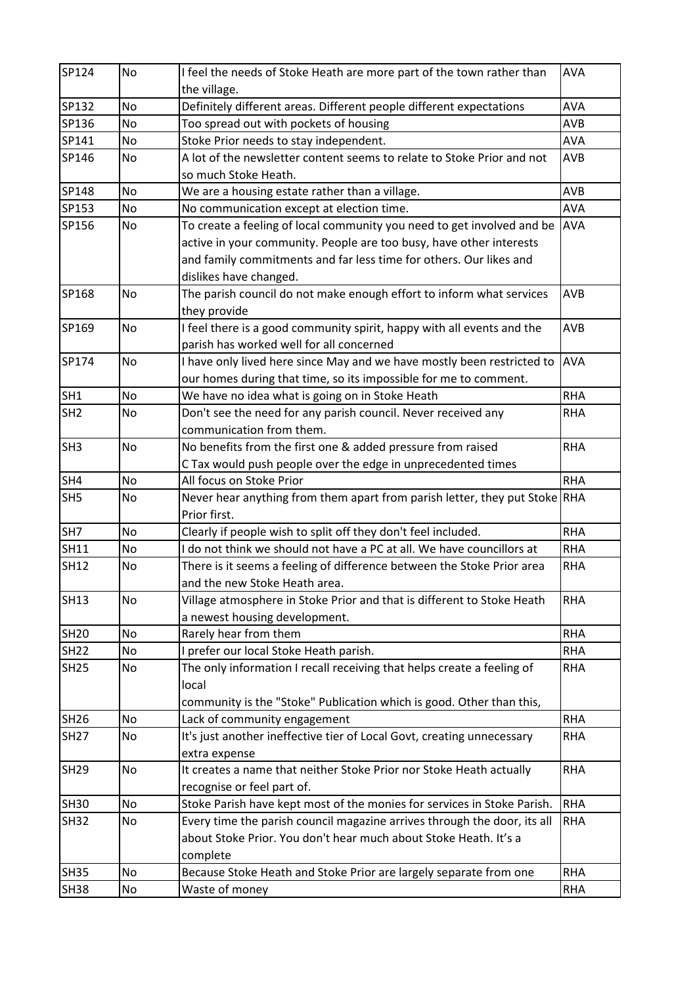| SP124           | No | I feel the needs of Stoke Heath are more part of the town rather than<br>the village. | <b>AVA</b> |
|-----------------|----|---------------------------------------------------------------------------------------|------------|
| SP132           | No | Definitely different areas. Different people different expectations                   | <b>AVA</b> |
| SP136           | No | Too spread out with pockets of housing                                                | <b>AVB</b> |
| SP141           | No | Stoke Prior needs to stay independent.                                                | <b>AVA</b> |
| SP146           | No | A lot of the newsletter content seems to relate to Stoke Prior and not                | AVB        |
|                 |    | so much Stoke Heath.                                                                  |            |
| SP148           | No | We are a housing estate rather than a village.                                        | <b>AVB</b> |
| SP153           | No | No communication except at election time.                                             | <b>AVA</b> |
| SP156           | No | To create a feeling of local community you need to get involved and be                | <b>AVA</b> |
|                 |    | active in your community. People are too busy, have other interests                   |            |
|                 |    | and family commitments and far less time for others. Our likes and                    |            |
|                 |    | dislikes have changed.                                                                |            |
| SP168           | No | The parish council do not make enough effort to inform what services                  | <b>AVB</b> |
|                 |    | they provide                                                                          |            |
| SP169           | No | I feel there is a good community spirit, happy with all events and the                | <b>AVB</b> |
|                 |    | parish has worked well for all concerned                                              |            |
| SP174           | No | I have only lived here since May and we have mostly been restricted to                | <b>AVA</b> |
|                 |    | our homes during that time, so its impossible for me to comment.                      |            |
| SH <sub>1</sub> | No | We have no idea what is going on in Stoke Heath                                       | <b>RHA</b> |
| SH <sub>2</sub> | No | Don't see the need for any parish council. Never received any                         | <b>RHA</b> |
|                 |    | communication from them.                                                              |            |
| SH <sub>3</sub> | No | No benefits from the first one & added pressure from raised                           | <b>RHA</b> |
|                 |    | C Tax would push people over the edge in unprecedented times                          |            |
| SH4             | No | All focus on Stoke Prior                                                              | <b>RHA</b> |
| SH <sub>5</sub> | No | Never hear anything from them apart from parish letter, they put Stoke RHA            |            |
|                 |    | Prior first.                                                                          |            |
| SH7             | No | Clearly if people wish to split off they don't feel included.                         | <b>RHA</b> |
| <b>SH11</b>     | No | I do not think we should not have a PC at all. We have councillors at                 | <b>RHA</b> |
| <b>SH12</b>     | No | There is it seems a feeling of difference between the Stoke Prior area                | <b>RHA</b> |
|                 |    | and the new Stoke Heath area.                                                         |            |
| <b>SH13</b>     | No | Village atmosphere in Stoke Prior and that is different to Stoke Heath                | <b>RHA</b> |
|                 |    | a newest housing development.                                                         |            |
| <b>SH20</b>     | No | Rarely hear from them                                                                 | <b>RHA</b> |
| <b>SH22</b>     | No | I prefer our local Stoke Heath parish.                                                | <b>RHA</b> |
| <b>SH25</b>     | No | The only information I recall receiving that helps create a feeling of                | <b>RHA</b> |
|                 |    | local                                                                                 |            |
|                 |    | community is the "Stoke" Publication which is good. Other than this,                  |            |
| SH26            | No | Lack of community engagement                                                          | <b>RHA</b> |
| <b>SH27</b>     | No | It's just another ineffective tier of Local Govt, creating unnecessary                | <b>RHA</b> |
|                 |    |                                                                                       |            |
|                 | No | extra expense                                                                         | <b>RHA</b> |
| <b>SH29</b>     |    | It creates a name that neither Stoke Prior nor Stoke Heath actually                   |            |
|                 |    | recognise or feel part of.                                                            |            |
| <b>SH30</b>     | No | Stoke Parish have kept most of the monies for services in Stoke Parish.               | <b>RHA</b> |
| <b>SH32</b>     | No | Every time the parish council magazine arrives through the door, its all              | <b>RHA</b> |
|                 |    | about Stoke Prior. You don't hear much about Stoke Heath. It's a                      |            |
|                 |    | complete                                                                              |            |
| <b>SH35</b>     | No | Because Stoke Heath and Stoke Prior are largely separate from one                     | <b>RHA</b> |
| <b>SH38</b>     | No | Waste of money                                                                        | RHA        |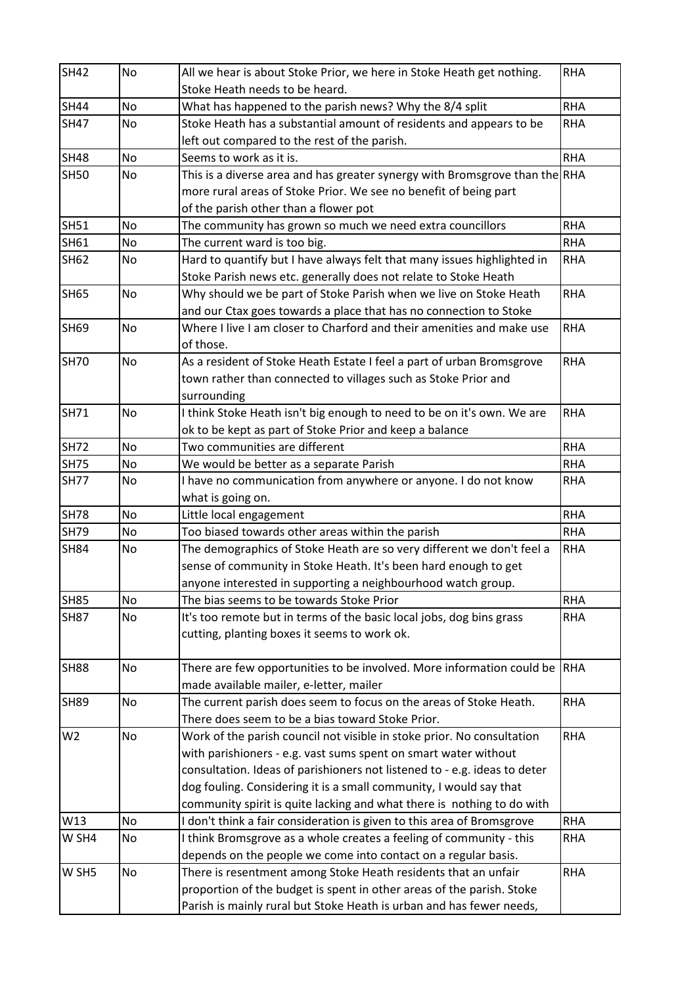| <b>SH42</b>    | No        | All we hear is about Stoke Prior, we here in Stoke Heath get nothing.       | <b>RHA</b> |
|----------------|-----------|-----------------------------------------------------------------------------|------------|
|                |           | Stoke Heath needs to be heard.                                              |            |
| <b>SH44</b>    | No        | What has happened to the parish news? Why the 8/4 split                     | <b>RHA</b> |
| <b>SH47</b>    | No        | Stoke Heath has a substantial amount of residents and appears to be         | <b>RHA</b> |
|                |           | left out compared to the rest of the parish.                                |            |
| <b>SH48</b>    | <b>No</b> | Seems to work as it is.                                                     | <b>RHA</b> |
| <b>SH50</b>    | No        | This is a diverse area and has greater synergy with Bromsgrove than the RHA |            |
|                |           | more rural areas of Stoke Prior. We see no benefit of being part            |            |
|                |           | of the parish other than a flower pot                                       |            |
| <b>SH51</b>    | No        | The community has grown so much we need extra councillors                   | <b>RHA</b> |
| SH61           | No        | The current ward is too big.                                                | <b>RHA</b> |
| <b>SH62</b>    | No        | Hard to quantify but I have always felt that many issues highlighted in     | <b>RHA</b> |
|                |           | Stoke Parish news etc. generally does not relate to Stoke Heath             |            |
| <b>SH65</b>    | No        | Why should we be part of Stoke Parish when we live on Stoke Heath           | <b>RHA</b> |
|                |           | and our Ctax goes towards a place that has no connection to Stoke           |            |
| <b>SH69</b>    | No        | Where I live I am closer to Charford and their amenities and make use       | <b>RHA</b> |
|                |           | of those.                                                                   |            |
| <b>SH70</b>    | <b>No</b> | As a resident of Stoke Heath Estate I feel a part of urban Bromsgrove       | <b>RHA</b> |
|                |           | town rather than connected to villages such as Stoke Prior and              |            |
|                |           | surrounding                                                                 |            |
| <b>SH71</b>    | No        | I think Stoke Heath isn't big enough to need to be on it's own. We are      | <b>RHA</b> |
|                |           | ok to be kept as part of Stoke Prior and keep a balance                     |            |
| <b>SH72</b>    | <b>No</b> | Two communities are different                                               | <b>RHA</b> |
| <b>SH75</b>    | No        | We would be better as a separate Parish                                     | <b>RHA</b> |
| <b>SH77</b>    | No        | I have no communication from anywhere or anyone. I do not know              | <b>RHA</b> |
|                |           | what is going on.                                                           |            |
| <b>SH78</b>    | <b>No</b> | Little local engagement                                                     | <b>RHA</b> |
| <b>SH79</b>    | No        | Too biased towards other areas within the parish                            | <b>RHA</b> |
| <b>SH84</b>    | No        | The demographics of Stoke Heath are so very different we don't feel a       | <b>RHA</b> |
|                |           | sense of community in Stoke Heath. It's been hard enough to get             |            |
|                |           | anyone interested in supporting a neighbourhood watch group.                |            |
| <b>SH85</b>    | <b>No</b> | The bias seems to be towards Stoke Prior                                    | <b>RHA</b> |
| <b>SH87</b>    | No        | It's too remote but in terms of the basic local jobs, dog bins grass        | <b>RHA</b> |
|                |           | cutting, planting boxes it seems to work ok.                                |            |
|                |           |                                                                             |            |
| <b>SH88</b>    | No        | There are few opportunities to be involved. More information could be       | <b>RHA</b> |
|                |           | made available mailer, e-letter, mailer                                     |            |
| <b>SH89</b>    | No        | The current parish does seem to focus on the areas of Stoke Heath.          | <b>RHA</b> |
|                |           | There does seem to be a bias toward Stoke Prior.                            |            |
| W <sub>2</sub> | <b>No</b> | Work of the parish council not visible in stoke prior. No consultation      | <b>RHA</b> |
|                |           | with parishioners - e.g. vast sums spent on smart water without             |            |
|                |           | consultation. Ideas of parishioners not listened to - e.g. ideas to deter   |            |
|                |           | dog fouling. Considering it is a small community, I would say that          |            |
|                |           | community spirit is quite lacking and what there is nothing to do with      |            |
| W13            | No        | I don't think a fair consideration is given to this area of Bromsgrove      | <b>RHA</b> |
| W SH4          | No        | I think Bromsgrove as a whole creates a feeling of community - this         | <b>RHA</b> |
|                |           | depends on the people we come into contact on a regular basis.              |            |
| W SH5          | No        | There is resentment among Stoke Heath residents that an unfair              | <b>RHA</b> |
|                |           | proportion of the budget is spent in other areas of the parish. Stoke       |            |
|                |           | Parish is mainly rural but Stoke Heath is urban and has fewer needs,        |            |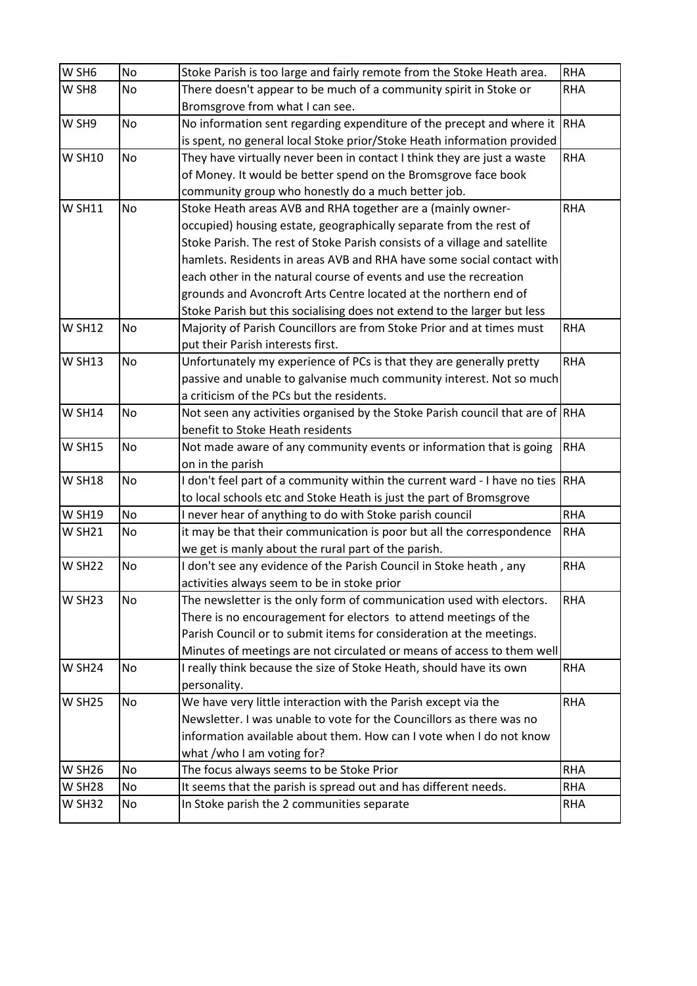| W SH6              | No        | Stoke Parish is too large and fairly remote from the Stoke Heath area.        | <b>RHA</b> |
|--------------------|-----------|-------------------------------------------------------------------------------|------------|
| W SH8              | No        | There doesn't appear to be much of a community spirit in Stoke or             | <b>RHA</b> |
|                    |           | Bromsgrove from what I can see.                                               |            |
| W SH9              | No        | No information sent regarding expenditure of the precept and where it         | <b>RHA</b> |
|                    |           | is spent, no general local Stoke prior/Stoke Heath information provided       |            |
| <b>W SH10</b>      | No        | They have virtually never been in contact I think they are just a waste       | <b>RHA</b> |
|                    |           | of Money. It would be better spend on the Bromsgrove face book                |            |
|                    |           | community group who honestly do a much better job.                            |            |
| <b>W SH11</b>      | <b>No</b> | Stoke Heath areas AVB and RHA together are a (mainly owner-                   | <b>RHA</b> |
|                    |           | occupied) housing estate, geographically separate from the rest of            |            |
|                    |           | Stoke Parish. The rest of Stoke Parish consists of a village and satellite    |            |
|                    |           | hamlets. Residents in areas AVB and RHA have some social contact with         |            |
|                    |           | each other in the natural course of events and use the recreation             |            |
|                    |           | grounds and Avoncroft Arts Centre located at the northern end of              |            |
|                    |           | Stoke Parish but this socialising does not extend to the larger but less      |            |
| <b>W SH12</b>      | No        | Majority of Parish Councillors are from Stoke Prior and at times must         | <b>RHA</b> |
|                    |           | put their Parish interests first.                                             |            |
| <b>W SH13</b>      | No        | Unfortunately my experience of PCs is that they are generally pretty          | <b>RHA</b> |
|                    |           | passive and unable to galvanise much community interest. Not so much          |            |
|                    |           | a criticism of the PCs but the residents.                                     |            |
| <b>W SH14</b>      | No        | Not seen any activities organised by the Stoke Parish council that are of RHA |            |
|                    |           | benefit to Stoke Heath residents                                              |            |
| <b>W SH15</b>      | No        | Not made aware of any community events or information that is going           | <b>RHA</b> |
|                    |           | on in the parish                                                              |            |
| <b>W SH18</b>      | <b>No</b> | I don't feel part of a community within the current ward - I have no ties     | RHA        |
|                    |           | to local schools etc and Stoke Heath is just the part of Bromsgrove           |            |
| <b>W SH19</b>      | No        | I never hear of anything to do with Stoke parish council                      | <b>RHA</b> |
| <b>W SH21</b>      | No        | it may be that their communication is poor but all the correspondence         | <b>RHA</b> |
|                    |           | we get is manly about the rural part of the parish.                           |            |
| <b>W SH22</b>      | No        | I don't see any evidence of the Parish Council in Stoke heath, any            | <b>RHA</b> |
|                    |           | activities always seem to be in stoke prior                                   |            |
| <b>W SH23</b>      | <b>No</b> | The newsletter is the only form of communication used with electors.          | <b>RHA</b> |
|                    |           | There is no encouragement for electors to attend meetings of the              |            |
|                    |           | Parish Council or to submit items for consideration at the meetings.          |            |
|                    |           | Minutes of meetings are not circulated or means of access to them well        |            |
| W SH <sub>24</sub> | No        | I really think because the size of Stoke Heath, should have its own           | <b>RHA</b> |
|                    |           | personality.                                                                  |            |
| <b>W SH25</b>      | <b>No</b> | We have very little interaction with the Parish except via the                | <b>RHA</b> |
|                    |           | Newsletter. I was unable to vote for the Councillors as there was no          |            |
|                    |           | information available about them. How can I vote when I do not know           |            |
|                    |           | what /who I am voting for?                                                    |            |
| <b>W SH26</b>      | No        | The focus always seems to be Stoke Prior                                      | <b>RHA</b> |
| <b>W SH28</b>      | No        | It seems that the parish is spread out and has different needs.               | <b>RHA</b> |
| <b>W SH32</b>      | No        | In Stoke parish the 2 communities separate                                    | <b>RHA</b> |